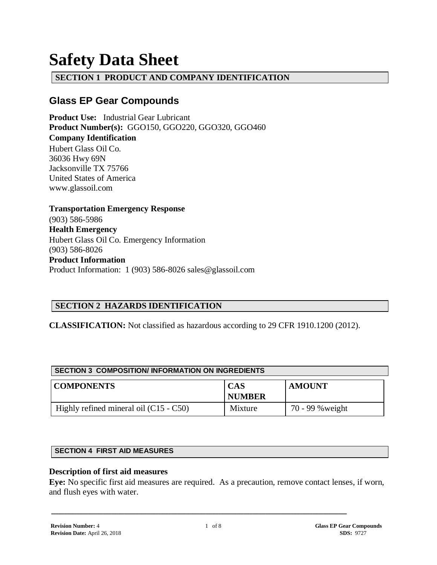# **Safety Data Sheet**

## **SECTION 1 PRODUCT AND COMPANY IDENTIFICATION**

## **Glass EP Gear Compounds**

**Product Use:** Industrial Gear Lubricant **Product Number(s):** GGO150, GGO220, GGO320, GGO460 **Company Identification** Hubert Glass Oil Co.

36036 Hwy 69N Jacksonville TX 75766 United States of America www.glassoil.com

**Transportation Emergency Response** (903) 586-5986 **Health Emergency** Hubert Glass Oil Co. Emergency Information (903) 586-8026 **Product Information**  Product Information: 1 (903) 586-8026 sales@glassoil.com

## **SECTION 2 HAZARDS IDENTIFICATION**

**CLASSIFICATION:** Not classified as hazardous according to 29 CFR 1910.1200 (2012).

| <b>SECTION 3 COMPOSITION/INFORMATION ON INGREDIENTS</b> |                             |                  |  |  |  |
|---------------------------------------------------------|-----------------------------|------------------|--|--|--|
| <b>COMPONENTS</b>                                       | <b>CAS</b><br><b>NUMBER</b> | <b>AMOUNT</b>    |  |  |  |
| Highly refined mineral oil $(C15 - C50)$                | Mixture                     | 70 - 99 % weight |  |  |  |

#### **SECTION 4 FIRST AID MEASURES**

#### **Description of first aid measures**

**Eye:** No specific first aid measures are required. As a precaution, remove contact lenses, if worn, and flush eyes with water.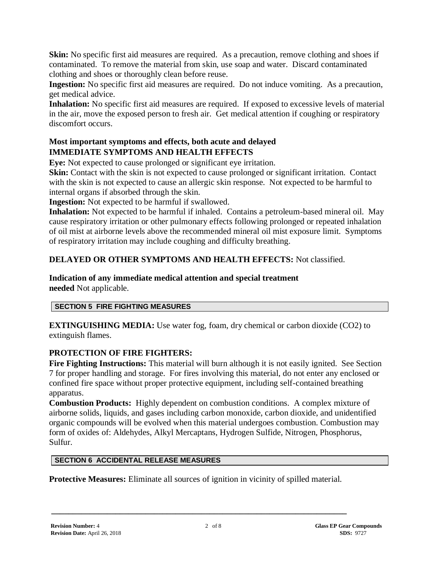**Skin:** No specific first aid measures are required. As a precaution, remove clothing and shoes if contaminated. To remove the material from skin, use soap and water. Discard contaminated clothing and shoes or thoroughly clean before reuse.

**Ingestion:** No specific first aid measures are required. Do not induce vomiting. As a precaution, get medical advice.

**Inhalation:** No specific first aid measures are required. If exposed to excessive levels of material in the air, move the exposed person to fresh air. Get medical attention if coughing or respiratory discomfort occurs.

### **Most important symptoms and effects, both acute and delayed IMMEDIATE SYMPTOMS AND HEALTH EFFECTS**

**Eye:** Not expected to cause prolonged or significant eye irritation.

**Skin:** Contact with the skin is not expected to cause prolonged or significant irritation. Contact with the skin is not expected to cause an allergic skin response. Not expected to be harmful to internal organs if absorbed through the skin.

**Ingestion:** Not expected to be harmful if swallowed.

**Inhalation:** Not expected to be harmful if inhaled. Contains a petroleum-based mineral oil. May cause respiratory irritation or other pulmonary effects following prolonged or repeated inhalation of oil mist at airborne levels above the recommended mineral oil mist exposure limit. Symptoms of respiratory irritation may include coughing and difficulty breathing.

## **DELAYED OR OTHER SYMPTOMS AND HEALTH EFFECTS:** Not classified.

## **Indication of any immediate medical attention and special treatment**

**needed** Not applicable.

#### **SECTION 5 FIRE FIGHTING MEASURES**

**EXTINGUISHING MEDIA:** Use water fog, foam, dry chemical or carbon dioxide (CO2) to extinguish flames.

## **PROTECTION OF FIRE FIGHTERS:**

**Fire Fighting Instructions:** This material will burn although it is not easily ignited. See Section 7 for proper handling and storage. For fires involving this material, do not enter any enclosed or confined fire space without proper protective equipment, including self-contained breathing apparatus.

**Combustion Products:** Highly dependent on combustion conditions. A complex mixture of airborne solids, liquids, and gases including carbon monoxide, carbon dioxide, and unidentified organic compounds will be evolved when this material undergoes combustion. Combustion may form of oxides of: Aldehydes, Alkyl Mercaptans, Hydrogen Sulfide, Nitrogen, Phosphorus, Sulfur.

#### **SECTION 6 ACCIDENTAL RELEASE MEASURES**

**Protective Measures:** Eliminate all sources of ignition in vicinity of spilled material.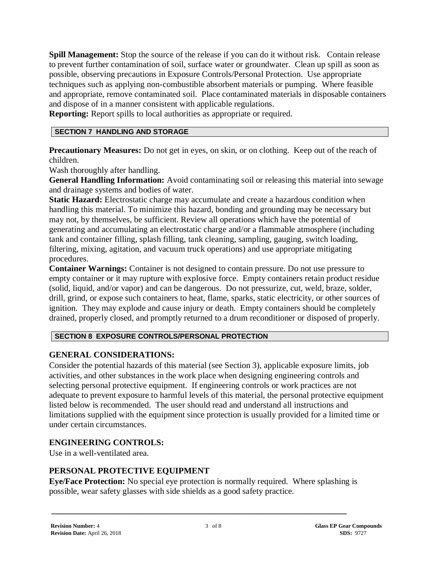**Spill Management:** Stop the source of the release if you can do it without risk. Contain release to prevent further contamination of soil, surface water or groundwater. Clean up spill as soon as possible, observing precautions in Exposure Controls/Personal Protection. Use appropriate techniques such as applying non-combustible absorbent materials or pumping. Where feasible and appropriate, remove contaminated soil. Place contaminated materials in disposable containers and dispose of in a manner consistent with applicable regulations.

**Reporting:** Report spills to local authorities as appropriate or required.

#### **SECTION 7 HANDLING AND STORAGE**

**Precautionary Measures:** Do not get in eyes, on skin, or on clothing. Keep out of the reach of children.

Wash thoroughly after handling.

**General Handling Information:** Avoid contaminating soil or releasing this material into sewage and drainage systems and bodies of water.

**Static Hazard:** Electrostatic charge may accumulate and create a hazardous condition when handling this material. To minimize this hazard, bonding and grounding may be necessary but may not, by themselves, be sufficient. Review all operations which have the potential of generating and accumulating an electrostatic charge and/or a flammable atmosphere (including tank and container filling, splash filling, tank cleaning, sampling, gauging, switch loading, filtering, mixing, agitation, and vacuum truck operations) and use appropriate mitigating procedures.

**Container Warnings:** Container is not designed to contain pressure. Do not use pressure to empty container or it may rupture with explosive force. Empty containers retain product residue (solid, liquid, and/or vapor) and can be dangerous. Do not pressurize, cut, weld, braze, solder, drill, grind, or expose such containers to heat, flame, sparks, static electricity, or other sources of ignition. They may explode and cause injury or death. Empty containers should be completely drained, properly closed, and promptly returned to a drum reconditioner or disposed of properly.

#### **SECTION 8 EXPOSURE CONTROLS/PERSONAL PROTECTION**

#### **GENERAL CONSIDERATIONS:**

Consider the potential hazards of this material (see Section 3), applicable exposure limits, job activities, and other substances in the work place when designing engineering controls and selecting personal protective equipment. If engineering controls or work practices are not adequate to prevent exposure to harmful levels of this material, the personal protective equipment listed below is recommended. The user should read and understand all instructions and limitations supplied with the equipment since protection is usually provided for a limited time or under certain circumstances.

## **ENGINEERING CONTROLS:**

Use in a well-ventilated area.

## **PERSONAL PROTECTIVE EQUIPMENT**

**Eye/Face Protection:** No special eye protection is normally required. Where splashing is possible, wear safety glasses with side shields as a good safety practice.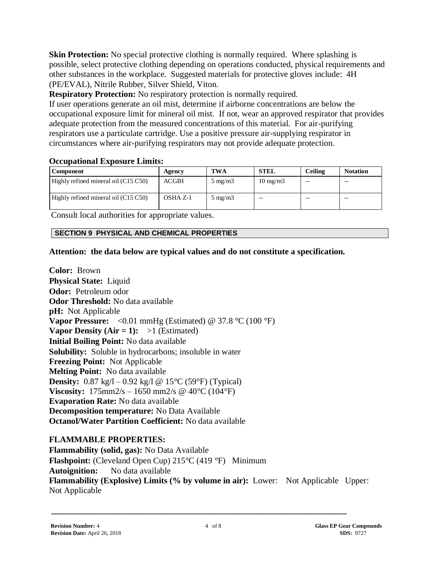**Skin Protection:** No special protective clothing is normally required. Where splashing is possible, select protective clothing depending on operations conducted, physical requirements and other substances in the workplace. Suggested materials for protective gloves include: 4H (PE/EVAL), Nitrile Rubber, Silver Shield, Viton.

**Respiratory Protection:** No respiratory protection is normally required.

If user operations generate an oil mist, determine if airborne concentrations are below the occupational exposure limit for mineral oil mist. If not, wear an approved respirator that provides adequate protection from the measured concentrations of this material. For air-purifying respirators use a particulate cartridge. Use a positive pressure air-supplying respirator in circumstances where air-purifying respirators may not provide adequate protection.

## **Occupational Exposure Limits:**

| <b>Component</b>                       | Agency       | <b>TWA</b>       | <b>STEL</b>       | <b>Ceiling</b> | <b>Notation</b> |
|----------------------------------------|--------------|------------------|-------------------|----------------|-----------------|
| Highly refined mineral oil $(C15 C50)$ | <b>ACGIH</b> | $5 \text{ mg/m}$ | $10 \text{ mg/m}$ | --             | $ -$            |
| Highly refined mineral oil $(C15 C50)$ | OSHA Z-1     | $5 \text{ mg/m}$ | $- -$             | $- -$          | $ -$            |

Consult local authorities for appropriate values.

#### **SECTION 9 PHYSICAL AND CHEMICAL PROPERTIES**

## **Attention: the data below are typical values and do not constitute a specification.**

**Color:** Brown **Physical State:** Liquid **Odor:** Petroleum odor **Odor Threshold:** No data available **pH:** Not Applicable **Vapor Pressure:**  $\langle 0.01 \text{ mmHg}$  (Estimated) @ 37.8 °C (100 °F) **Vapor Density (Air = 1):**  $>1$  (Estimated) **Initial Boiling Point:** No data available **Solubility:** Soluble in hydrocarbons; insoluble in water **Freezing Point:** Not Applicable **Melting Point:** No data available **Density:**  $0.87 \text{ kg}/1 - 0.92 \text{ kg}/1 \text{ @ } 15^{\circ}\text{C}$  (59°F) (Typical) **Viscosity:**  $175 \text{mm} 2/\text{s} - 1650 \text{mm} 2/\text{s} \ @ \ 40^{\circ}\text{C} (104^{\circ}\text{F})$ **Evaporation Rate:** No data available **Decomposition temperature:** No Data Available **Octanol/Water Partition Coefficient:** No data available

#### **FLAMMABLE PROPERTIES:**

**Flammability (solid, gas):** No Data Available **Flashpoint:** (Cleveland Open Cup) 215°C (419 °F) Minimum **Autoignition:** No data available **Flammability (Explosive) Limits (% by volume in air):** Lower: Not Applicable Upper: Not Applicable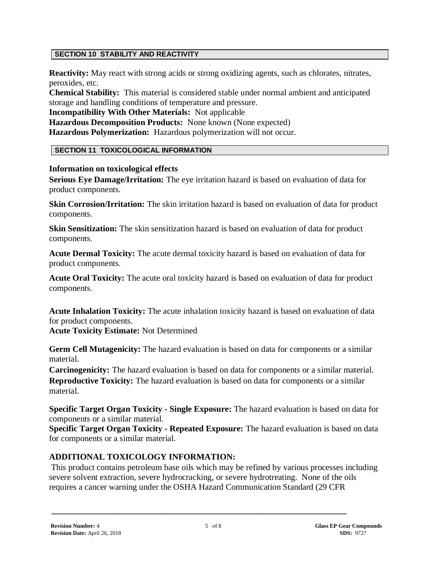#### **SECTION 10 STABILITY AND REACTIVITY**

**Reactivity:** May react with strong acids or strong oxidizing agents, such as chlorates, nitrates, peroxides, etc.

**Chemical Stability:** This material is considered stable under normal ambient and anticipated storage and handling conditions of temperature and pressure.

**Incompatibility With Other Materials:** Not applicable

**Hazardous Decomposition Products:** None known (None expected) **Hazardous Polymerization:** Hazardous polymerization will not occur.

#### **SECTION 11 TOXICOLOGICAL INFORMATION**

#### **Information on toxicological effects**

**Serious Eye Damage/Irritation:** The eye irritation hazard is based on evaluation of data for product components.

**Skin Corrosion/Irritation:** The skin irritation hazard is based on evaluation of data for product components.

**Skin Sensitization:** The skin sensitization hazard is based on evaluation of data for product components.

**Acute Dermal Toxicity:** The acute dermal toxicity hazard is based on evaluation of data for product components.

**Acute Oral Toxicity:** The acute oral toxicity hazard is based on evaluation of data for product components.

**Acute Inhalation Toxicity:** The acute inhalation toxicity hazard is based on evaluation of data for product components.

**Acute Toxicity Estimate:** Not Determined

Germ Cell Mutagenicity: The hazard evaluation is based on data for components or a similar material.

**Carcinogenicity:** The hazard evaluation is based on data for components or a similar material. **Reproductive Toxicity:** The hazard evaluation is based on data for components or a similar material.

**Specific Target Organ Toxicity - Single Exposure:** The hazard evaluation is based on data for components or a similar material.

**Specific Target Organ Toxicity - Repeated Exposure:** The hazard evaluation is based on data for components or a similar material.

## **ADDITIONAL TOXICOLOGY INFORMATION:**

This product contains petroleum base oils which may be refined by various processes including severe solvent extraction, severe hydrocracking, or severe hydrotreating. None of the oils requires a cancer warning under the OSHA Hazard Communication Standard (29 CFR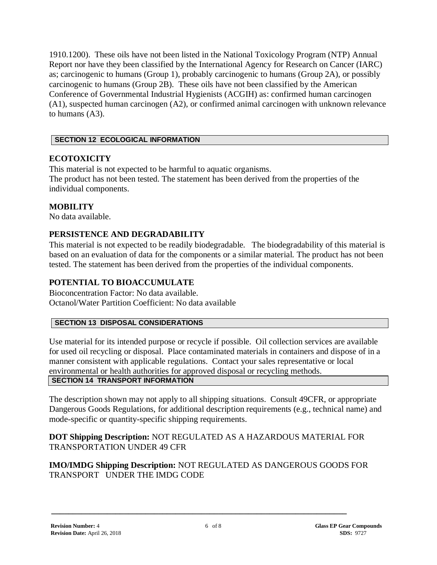1910.1200). These oils have not been listed in the National Toxicology Program (NTP) Annual Report nor have they been classified by the International Agency for Research on Cancer (IARC) as; carcinogenic to humans (Group 1), probably carcinogenic to humans (Group 2A), or possibly carcinogenic to humans (Group 2B). These oils have not been classified by the American Conference of Governmental Industrial Hygienists (ACGIH) as: confirmed human carcinogen (A1), suspected human carcinogen (A2), or confirmed animal carcinogen with unknown relevance to humans (A3).

## **SECTION 12 ECOLOGICAL INFORMATION**

## **ECOTOXICITY**

This material is not expected to be harmful to aquatic organisms. The product has not been tested. The statement has been derived from the properties of the individual components.

## **MOBILITY**

No data available.

## **PERSISTENCE AND DEGRADABILITY**

This material is not expected to be readily biodegradable. The biodegradability of this material is based on an evaluation of data for the components or a similar material. The product has not been tested. The statement has been derived from the properties of the individual components.

## **POTENTIAL TO BIOACCUMULATE**

Bioconcentration Factor: No data available. Octanol/Water Partition Coefficient: No data available

#### **SECTION 13 DISPOSAL CONSIDERATIONS**

Use material for its intended purpose or recycle if possible. Oil collection services are available for used oil recycling or disposal. Place contaminated materials in containers and dispose of in a manner consistent with applicable regulations. Contact your sales representative or local environmental or health authorities for approved disposal or recycling methods. **SECTION 14 TRANSPORT INFORMATION**

The description shown may not apply to all shipping situations. Consult 49CFR, or appropriate Dangerous Goods Regulations, for additional description requirements (e.g., technical name) and mode-specific or quantity-specific shipping requirements.

## **DOT Shipping Description:** NOT REGULATED AS A HAZARDOUS MATERIAL FOR TRANSPORTATION UNDER 49 CFR

## **IMO/IMDG Shipping Description:** NOT REGULATED AS DANGEROUS GOODS FOR TRANSPORT UNDER THE IMDG CODE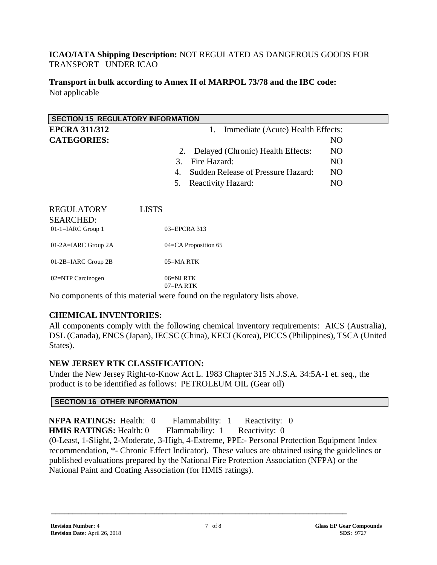## **ICAO/IATA Shipping Description:** NOT REGULATED AS DANGEROUS GOODS FOR TRANSPORT UNDER ICAO

**Transport in bulk according to Annex II of MARPOL 73/78 and the IBC code:** Not applicable

| <b>SECTION 15 REGULATORY INFORMATION</b> |                                          |                                   |  |  |
|------------------------------------------|------------------------------------------|-----------------------------------|--|--|
| <b>EPCRA 311/312</b>                     | 1.                                       | Immediate (Acute) Health Effects: |  |  |
| <b>CATEGORIES:</b>                       |                                          | NO                                |  |  |
|                                          | Delayed (Chronic) Health Effects:<br>2.  | N <sub>O</sub>                    |  |  |
|                                          | Fire Hazard:<br>3.                       | N <sub>O</sub>                    |  |  |
|                                          | Sudden Release of Pressure Hazard:<br>4. | N <sub>O</sub>                    |  |  |
|                                          | 5.<br>Reactivity Hazard:                 | N <sub>O</sub>                    |  |  |
| <b>REGULATORY</b><br><b>SEARCHED:</b>    | <b>LISTS</b>                             |                                   |  |  |
| $01$ -1=IARC Group 1                     | 03=EPCRA 313                             |                                   |  |  |
| 01-2A=IARC Group 2A                      | 04=CA Proposition 65                     |                                   |  |  |
| 01-2B=IARC Group 2B                      | 05=MARTK                                 |                                   |  |  |
| 02=NTP Carcinogen                        | $06 = NI RTK$<br>$07 - P_A RTK$          |                                   |  |  |

No components of this material were found on the regulatory lists above.

## **CHEMICAL INVENTORIES:**

All components comply with the following chemical inventory requirements: AICS (Australia), DSL (Canada), ENCS (Japan), IECSC (China), KECI (Korea), PICCS (Philippines), TSCA (United States).

## **NEW JERSEY RTK CLASSIFICATION:**

Under the New Jersey Right-to-Know Act L. 1983 Chapter 315 N.J.S.A. 34:5A-1 et. seq., the product is to be identified as follows: PETROLEUM OIL (Gear oil)

#### **SECTION 16 OTHER INFORMATION**

**NFPA RATINGS:** Health: 0 Flammability: 1 Reactivity: 0 **HMIS RATINGS:** Health: 0 Flammability: 1 Reactivity: 0 (0-Least, 1-Slight, 2-Moderate, 3-High, 4-Extreme, PPE:- Personal Protection Equipment Index recommendation, \*- Chronic Effect Indicator). These values are obtained using the guidelines or published evaluations prepared by the National Fire Protection Association (NFPA) or the National Paint and Coating Association (for HMIS ratings).